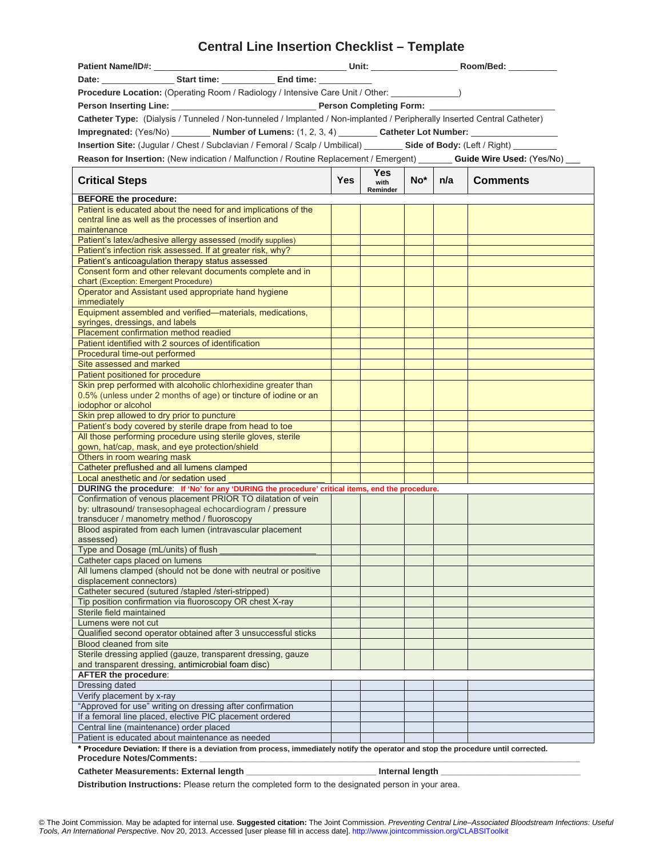# **Central Line Insertion Checklist – Template**

| Patient Name/ID#:                                                                                                                    |            |              |  |                 |                 |
|--------------------------------------------------------------------------------------------------------------------------------------|------------|--------------|--|-----------------|-----------------|
|                                                                                                                                      |            |              |  |                 |                 |
| Procedure Location: (Operating Room / Radiology / Intensive Care Unit / Other: ________________)                                     |            |              |  |                 |                 |
|                                                                                                                                      |            |              |  |                 |                 |
| Catheter Type: (Dialysis / Tunneled / Non-tunneled / Implanted / Non-implanted / Peripherally Inserted Central Catheter)             |            |              |  |                 |                 |
|                                                                                                                                      |            |              |  |                 |                 |
| Impregnated: (Yes/No) __________ Number of Lumens: (1, 2, 3, 4) _________ Catheter Lot Number: __                                    |            |              |  |                 |                 |
| Insertion Site: (Jugular / Chest / Subclavian / Femoral / Scalp / Umbilical) ________ Side of Body: (Left / Right) ________          |            |              |  |                 |                 |
| Reason for Insertion: (New indication / Malfunction / Routine Replacement / Emergent) _______ Guide Wire Used: (Yes/No) _            |            |              |  |                 |                 |
| <b>Critical Steps</b>                                                                                                                | <b>Yes</b> | Yes.<br>with |  | $No^*$   $n/a$  | <b>Comments</b> |
| <b>BEFORE</b> the procedure:                                                                                                         |            | Reminder     |  |                 |                 |
| Patient is educated about the need for and implications of the                                                                       |            |              |  |                 |                 |
| central line as well as the processes of insertion and                                                                               |            |              |  |                 |                 |
| maintenance                                                                                                                          |            |              |  |                 |                 |
| Patient's latex/adhesive allergy assessed (modify supplies)                                                                          |            |              |  |                 |                 |
| Patient's infection risk assessed. If at greater risk, why?                                                                          |            |              |  |                 |                 |
| Patient's anticoagulation therapy status assessed                                                                                    |            |              |  |                 |                 |
| Consent form and other relevant documents complete and in                                                                            |            |              |  |                 |                 |
| chart (Exception: Emergent Procedure)<br>Operator and Assistant used appropriate hand hygiene                                        |            |              |  |                 |                 |
| immediately                                                                                                                          |            |              |  |                 |                 |
| Equipment assembled and verified—materials, medications,                                                                             |            |              |  |                 |                 |
| syringes, dressings, and labels                                                                                                      |            |              |  |                 |                 |
| Placement confirmation method readied                                                                                                |            |              |  |                 |                 |
| Patient identified with 2 sources of identification                                                                                  |            |              |  |                 |                 |
| Procedural time-out performed                                                                                                        |            |              |  |                 |                 |
| Site assessed and marked                                                                                                             |            |              |  |                 |                 |
| Patient positioned for procedure                                                                                                     |            |              |  |                 |                 |
| Skin prep performed with alcoholic chlorhexidine greater than                                                                        |            |              |  |                 |                 |
| 0.5% (unless under 2 months of age) or tincture of iodine or an                                                                      |            |              |  |                 |                 |
| iodophor or alcohol<br>Skin prep allowed to dry prior to puncture                                                                    |            |              |  |                 |                 |
| Patient's body covered by sterile drape from head to toe                                                                             |            |              |  |                 |                 |
| All those performing procedure using sterile gloves, sterile                                                                         |            |              |  |                 |                 |
| gown, hat/cap, mask, and eye protection/shield                                                                                       |            |              |  |                 |                 |
| Others in room wearing mask                                                                                                          |            |              |  |                 |                 |
| Catheter preflushed and all lumens clamped                                                                                           |            |              |  |                 |                 |
| Local anesthetic and /or sedation used                                                                                               |            |              |  |                 |                 |
| DURING the procedure: If 'No' for any 'DURING the procedure' critical items, end the procedure.                                      |            |              |  |                 |                 |
| Confirmation of venous placement PRIOR TO dilatation of vein                                                                         |            |              |  |                 |                 |
| by: ultrasound/ transesophageal echocardiogram / pressure                                                                            |            |              |  |                 |                 |
| transducer / manometry method / fluoroscopy<br>Blood aspirated from each lumen (intravascular placement                              |            |              |  |                 |                 |
| assessed)                                                                                                                            |            |              |  |                 |                 |
| Type and Dosage (mL/units) of flush                                                                                                  |            |              |  |                 |                 |
| Catheter caps placed on lumens                                                                                                       |            |              |  |                 |                 |
| All lumens clamped (should not be done with neutral or positive                                                                      |            |              |  |                 |                 |
| displacement connectors)                                                                                                             |            |              |  |                 |                 |
| Catheter secured (sutured /stapled /steri-stripped)                                                                                  |            |              |  |                 |                 |
| Tip position confirmation via fluoroscopy OR chest X-ray                                                                             |            |              |  |                 |                 |
| Sterile field maintained                                                                                                             |            |              |  |                 |                 |
| Lumens were not cut                                                                                                                  |            |              |  |                 |                 |
| Qualified second operator obtained after 3 unsuccessful sticks                                                                       |            |              |  |                 |                 |
| Blood cleaned from site<br>Sterile dressing applied (gauze, transparent dressing, gauze                                              |            |              |  |                 |                 |
| and transparent dressing, antimicrobial foam disc)                                                                                   |            |              |  |                 |                 |
| <b>AFTER the procedure:</b>                                                                                                          |            |              |  |                 |                 |
| Dressing dated                                                                                                                       |            |              |  |                 |                 |
| Verify placement by x-ray                                                                                                            |            |              |  |                 |                 |
| "Approved for use" writing on dressing after confirmation                                                                            |            |              |  |                 |                 |
| If a femoral line placed, elective PIC placement ordered                                                                             |            |              |  |                 |                 |
| Central line (maintenance) order placed                                                                                              |            |              |  |                 |                 |
| Patient is educated about maintenance as needed                                                                                      |            |              |  |                 |                 |
| * Procedure Deviation: If there is a deviation from process, immediately notify the operator and stop the procedure until corrected. |            |              |  |                 |                 |
| <b>Procedure Notes/Comments:</b>                                                                                                     |            |              |  |                 |                 |
| Catheter Measurements: External length                                                                                               |            |              |  | Internal length |                 |